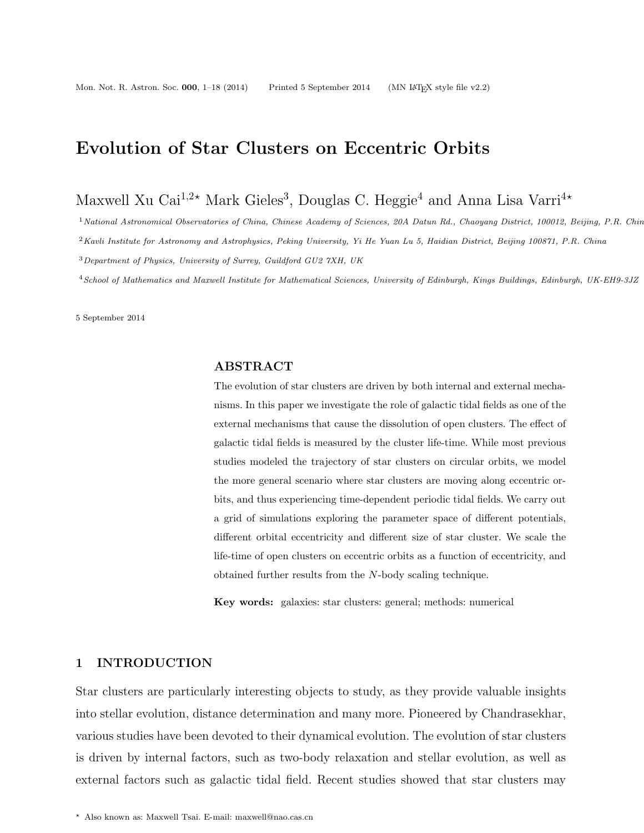## Evolution of Star Clusters on Eccentric Orbits

Maxwell Xu Cai<sup>1,2\*</sup> Mark Gieles<sup>3</sup>, Douglas C. Heggie<sup>4</sup> and Anna Lisa Varri<sup>4\*</sup>

<sup>1</sup> National Astronomical Observatories of China, Chinese Academy of Sciences, 20A Datun Rd., Chaoyang District, 100012, Beijing, P.R. Chin

 $2$ Kavli Institute for Astronomy and Astrophysics, Peking University, Yi He Yuan Lu 5, Haidian District, Beijing 100871, P.R. China

<sup>3</sup>Department of Physics, University of Surrey, Guildford GU2 7XH, UK

<sup>4</sup>School of Mathematics and Maxwell Institute for Mathematical Sciences, University of Edinburgh, Kings Buildings, Edinburgh, UK-EH9-3JZ

5 September 2014

## ABSTRACT

The evolution of star clusters are driven by both internal and external mechanisms. In this paper we investigate the role of galactic tidal fields as one of the external mechanisms that cause the dissolution of open clusters. The effect of galactic tidal fields is measured by the cluster life-time. While most previous studies modeled the trajectory of star clusters on circular orbits, we model the more general scenario where star clusters are moving along eccentric orbits, and thus experiencing time-dependent periodic tidal fields. We carry out a grid of simulations exploring the parameter space of different potentials, different orbital eccentricity and different size of star cluster. We scale the life-time of open clusters on eccentric orbits as a function of eccentricity, and obtained further results from the N-body scaling technique.

Key words: galaxies: star clusters: general; methods: numerical

#### 1 INTRODUCTION

Star clusters are particularly interesting objects to study, as they provide valuable insights into stellar evolution, distance determination and many more. Pioneered by Chandrasekhar, various studies have been devoted to their dynamical evolution. The evolution of star clusters is driven by internal factors, such as two-body relaxation and stellar evolution, as well as external factors such as galactic tidal field. Recent studies showed that star clusters may

<sup>?</sup> Also known as: Maxwell Tsai. E-mail: maxwell@nao.cas.cn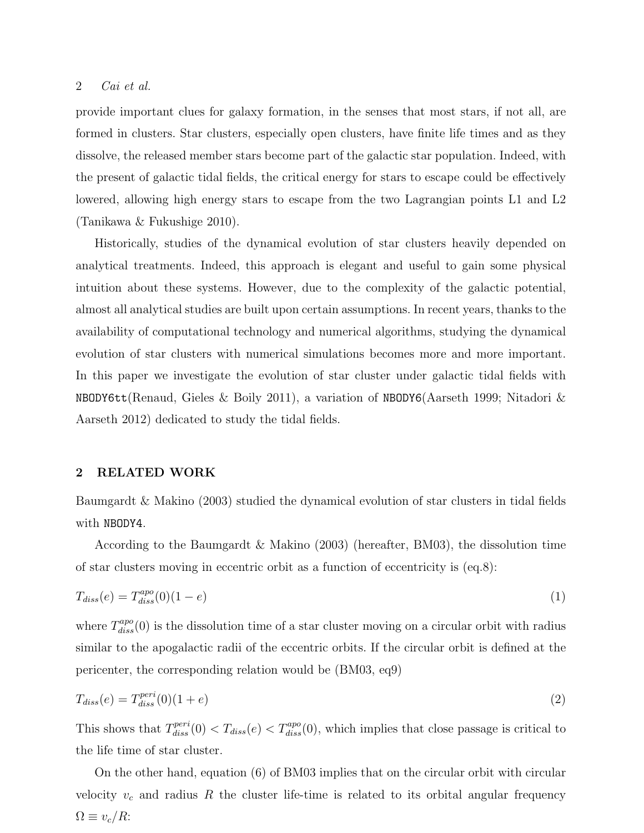provide important clues for galaxy formation, in the senses that most stars, if not all, are formed in clusters. Star clusters, especially open clusters, have finite life times and as they dissolve, the released member stars become part of the galactic star population. Indeed, with the present of galactic tidal fields, the critical energy for stars to escape could be effectively lowered, allowing high energy stars to escape from the two Lagrangian points L1 and L2 (Tanikawa & Fukushige 2010).

Historically, studies of the dynamical evolution of star clusters heavily depended on analytical treatments. Indeed, this approach is elegant and useful to gain some physical intuition about these systems. However, due to the complexity of the galactic potential, almost all analytical studies are built upon certain assumptions. In recent years, thanks to the availability of computational technology and numerical algorithms, studying the dynamical evolution of star clusters with numerical simulations becomes more and more important. In this paper we investigate the evolution of star cluster under galactic tidal fields with NBODY6tt(Renaud, Gieles & Boily 2011), a variation of NBODY6(Aarseth 1999; Nitadori & Aarseth 2012) dedicated to study the tidal fields.

#### 2 RELATED WORK

Baumgardt & Makino (2003) studied the dynamical evolution of star clusters in tidal fields with NBODY4.

According to the Baumgardt & Makino (2003) (hereafter, BM03), the dissolution time of star clusters moving in eccentric orbit as a function of eccentricity is (eq.8):

$$
T_{diss}(e) = T_{diss}^{apo}(0)(1 - e) \tag{1}
$$

where  $T_{diss}^{apo}(0)$  is the dissolution time of a star cluster moving on a circular orbit with radius similar to the apogalactic radii of the eccentric orbits. If the circular orbit is defined at the pericenter, the corresponding relation would be (BM03, eq9)

$$
T_{diss}(e) = T_{diss}^{peri}(0)(1+e)
$$
\n<sup>(2)</sup>

This shows that  $T_{diss}^{peri}(0) < T_{diss}(e) < T_{diss}^{apo}(0)$ , which implies that close passage is critical to the life time of star cluster.

On the other hand, equation (6) of BM03 implies that on the circular orbit with circular velocity  $v_c$  and radius R the cluster life-time is related to its orbital angular frequency  $\Omega \equiv v_c / R$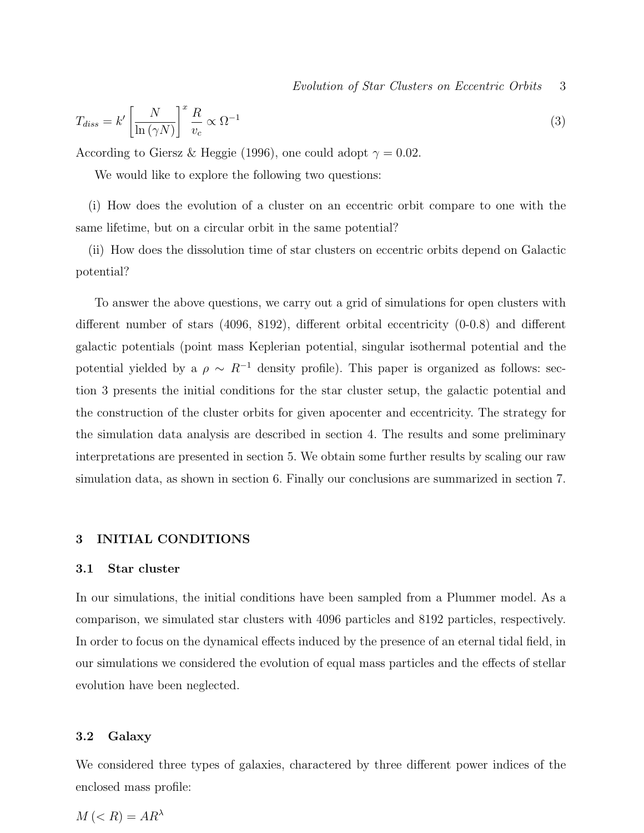$$
T_{diss} = k' \left[ \frac{N}{\ln \left( \gamma N \right)} \right]^x \frac{R}{v_c} \propto \Omega^{-1} \tag{3}
$$

According to Giersz & Heggie (1996), one could adopt  $\gamma = 0.02$ .

We would like to explore the following two questions:

(i) How does the evolution of a cluster on an eccentric orbit compare to one with the same lifetime, but on a circular orbit in the same potential?

(ii) How does the dissolution time of star clusters on eccentric orbits depend on Galactic potential?

To answer the above questions, we carry out a grid of simulations for open clusters with different number of stars (4096, 8192), different orbital eccentricity (0-0.8) and different galactic potentials (point mass Keplerian potential, singular isothermal potential and the potential yielded by a  $\rho \sim R^{-1}$  density profile). This paper is organized as follows: section 3 presents the initial conditions for the star cluster setup, the galactic potential and the construction of the cluster orbits for given apocenter and eccentricity. The strategy for the simulation data analysis are described in section 4. The results and some preliminary interpretations are presented in section 5. We obtain some further results by scaling our raw simulation data, as shown in section 6. Finally our conclusions are summarized in section 7.

#### 3 INITIAL CONDITIONS

#### 3.1 Star cluster

In our simulations, the initial conditions have been sampled from a Plummer model. As a comparison, we simulated star clusters with 4096 particles and 8192 particles, respectively. In order to focus on the dynamical effects induced by the presence of an eternal tidal field, in our simulations we considered the evolution of equal mass particles and the effects of stellar evolution have been neglected.

#### 3.2 Galaxy

We considered three types of galaxies, charactered by three different power indices of the enclosed mass profile:

$$
M \left( < R \right) = A R^{\lambda}
$$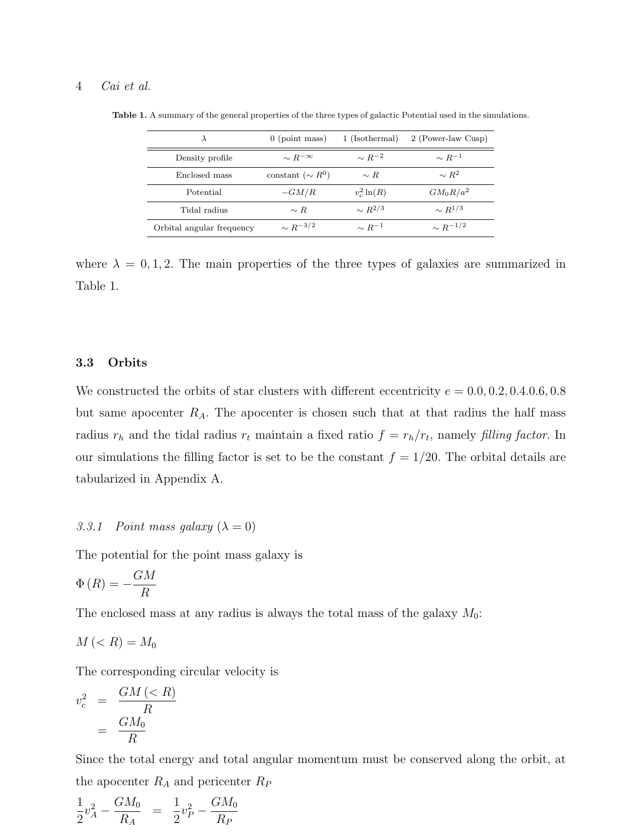| $\lambda$                                  | $0$ (point mass)   | 1 (Isothermal) | 2 (Power-law Cusp) |  |
|--------------------------------------------|--------------------|----------------|--------------------|--|
| Density profile                            | $\sim R^{-\infty}$ | $\sim R^{-2}$  | $\sim R^{-1}$      |  |
| constant ( $\sim R^{0}$ )<br>Enclosed mass |                    | $\sim R$       | $\sim R^2$         |  |
| Potential                                  | $-GM/R$            | $v_c^2 \ln(R)$ | $GM_0R/a^2$        |  |
| Tidal radius                               | $\sim R$           | $\sim R^{2/3}$ | $\sim R^{1/3}$     |  |
| Orbital angular frequency                  | $\sim R^{-3/2}$    | $\sim R^{-1}$  | $\sim R^{-1/2}$    |  |

Table 1. A summary of the general properties of the three types of galactic Potential used in the simulations.

where  $\lambda = 0, 1, 2$ . The main properties of the three types of galaxies are summarized in Table 1.

#### 3.3 Orbits

We constructed the orbits of star clusters with different eccentricity  $e = 0.0, 0.2, 0.4, 0.6, 0.8$ but same apocenter  $R_A$ . The apocenter is chosen such that at that radius the half mass radius  $r_h$  and the tidal radius  $r_t$  maintain a fixed ratio  $f = r_h/r_t$ , namely filling factor. In our simulations the filling factor is set to be the constant  $f = 1/20$ . The orbital details are tabularized in Appendix A.

#### 3.3.1 Point mass galaxy  $(\lambda = 0)$

The potential for the point mass galaxy is

$$
\Phi(R) = -\frac{GM}{R}
$$

The enclosed mass at any radius is always the total mass of the galaxy  $M_0$ :

$$
M\left(
$$

The corresponding circular velocity is

$$
v_c^2 = \frac{GM \left(< R\right)}{R}
$$

$$
= \frac{GM_0}{R}
$$

Since the total energy and total angular momentum must be conserved along the orbit, at the apocenter  $\mathcal{R}_A$  and pericenter  $\mathcal{R}_P$ 

$$
\frac{1}{2}v_A^2 - \frac{GM_0}{R_A} = \frac{1}{2}v_P^2 - \frac{GM_0}{R_P}
$$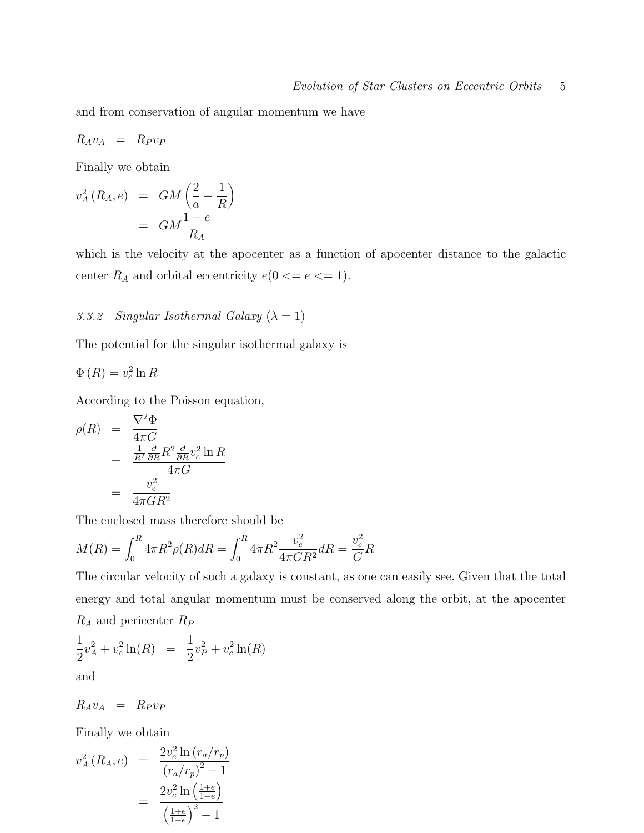and from conservation of angular momentum we have

$$
R_A v_A = R_P v_P
$$

Finally we obtain

$$
v_A^2(R_A, e) = GM\left(\frac{2}{a} - \frac{1}{R}\right)
$$

$$
= GM\frac{1 - e}{R_A}
$$

which is the velocity at the apocenter as a function of apocenter distance to the galactic center  $R_A$  and orbital eccentricity  $e(0 \leq e \leq 1)$ .

## 3.3.2 Singular Isothermal Galaxy  $(\lambda = 1)$

The potential for the singular isothermal galaxy is

$$
\Phi(R) = v_c^2 \ln R
$$

According to the Poisson equation,

$$
\rho(R) = \frac{\nabla^2 \Phi}{4\pi G}
$$
  
= 
$$
\frac{\frac{1}{R^2} \frac{\partial}{\partial R} R^2 \frac{\partial}{\partial R} v_c^2 \ln R}{4\pi G}
$$
  
= 
$$
\frac{v_c^2}{4\pi G R^2}
$$

The enclosed mass therefore should be

$$
M(R) = \int_0^R 4\pi R^2 \rho(R) dR = \int_0^R 4\pi R^2 \frac{v_c^2}{4\pi G R^2} dR = \frac{v_c^2}{G} R
$$

The circular velocity of such a galaxy is constant, as one can easily see. Given that the total energy and total angular momentum must be conserved along the orbit, at the apocenter  $R_A$  and pericenter  $R_P$ 

$$
\frac{1}{2}v_A^2 + v_c^2 \ln(R) = \frac{1}{2}v_P^2 + v_c^2 \ln(R)
$$

and

$$
R_A v_A = R_P v_P
$$

Finally we obtain

$$
v_A^2(R_A, e) = \frac{2v_c^2 \ln (r_a/r_p)}{(r_a/r_p)^2 - 1}
$$

$$
= \frac{2v_c^2 \ln (\frac{1+e}{1-e})}{(\frac{1+e}{1-e})^2 - 1}
$$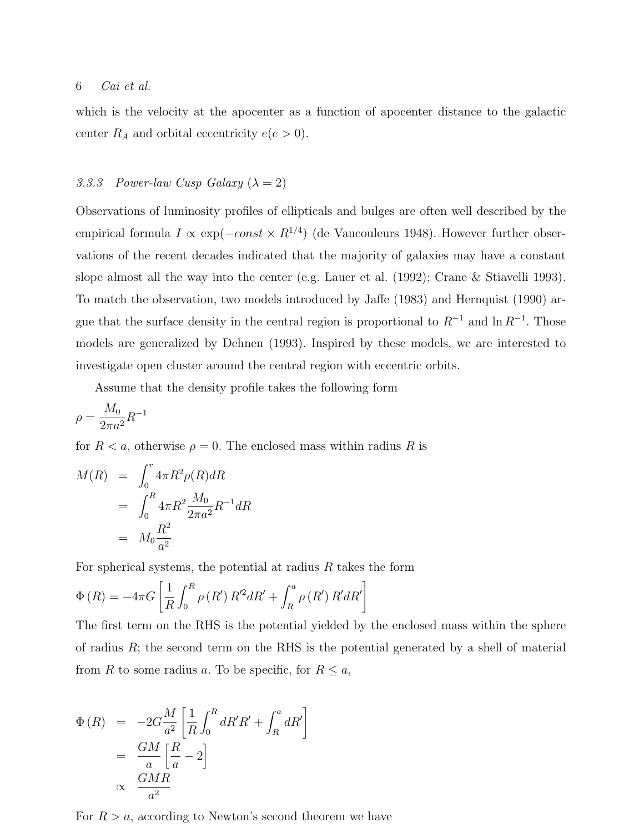which is the velocity at the apocenter as a function of apocenter distance to the galactic center  $R_A$  and orbital eccentricity  $e(e > 0)$ .

## 3.3.3 Power-law Cusp Galaxy  $(\lambda = 2)$

Observations of luminosity profiles of ellipticals and bulges are often well described by the empirical formula  $I \propto \exp(-const \times R^{1/4})$  (de Vaucouleurs 1948). However further observations of the recent decades indicated that the majority of galaxies may have a constant slope almost all the way into the center (e.g. Lauer et al. (1992); Crane & Stiavelli 1993). To match the observation, two models introduced by Jaffe (1983) and Hernquist (1990) argue that the surface density in the central region is proportional to  $R^{-1}$  and  $\ln R^{-1}$ . Those models are generalized by Dehnen (1993). Inspired by these models, we are interested to investigate open cluster around the central region with eccentric orbits.

Assume that the density profile takes the following form

$$
\rho = \frac{M_0}{2\pi a^2} R^{-1}
$$

for  $R < a$ , otherwise  $\rho = 0$ . The enclosed mass within radius R is

$$
M(R) = \int_0^r 4\pi R^2 \rho(R) dR
$$
  
= 
$$
\int_0^R 4\pi R^2 \frac{M_0}{2\pi a^2} R^{-1} dR
$$
  
= 
$$
M_0 \frac{R^2}{a^2}
$$

For spherical systems, the potential at radius  $R$  takes the form

$$
\Phi(R) = -4\pi G \left[ \frac{1}{R} \int_0^R \rho(R') R'^2 dR' + \int_R^a \rho(R') R' dR' \right]
$$

The first term on the RHS is the potential yielded by the enclosed mass within the sphere of radius  $R$ ; the second term on the RHS is the potential generated by a shell of material from R to some radius a. To be specific, for  $R \le a$ ,

$$
\Phi(R) = -2G \frac{M}{a^2} \left[ \frac{1}{R} \int_0^R dR'R' + \int_R^a dR' \right]
$$

$$
= \frac{GM}{a} \left[ \frac{R}{a} - 2 \right]
$$

$$
\propto \frac{GMR}{a^2}
$$

For  $R > a$ , according to Newton's second theorem we have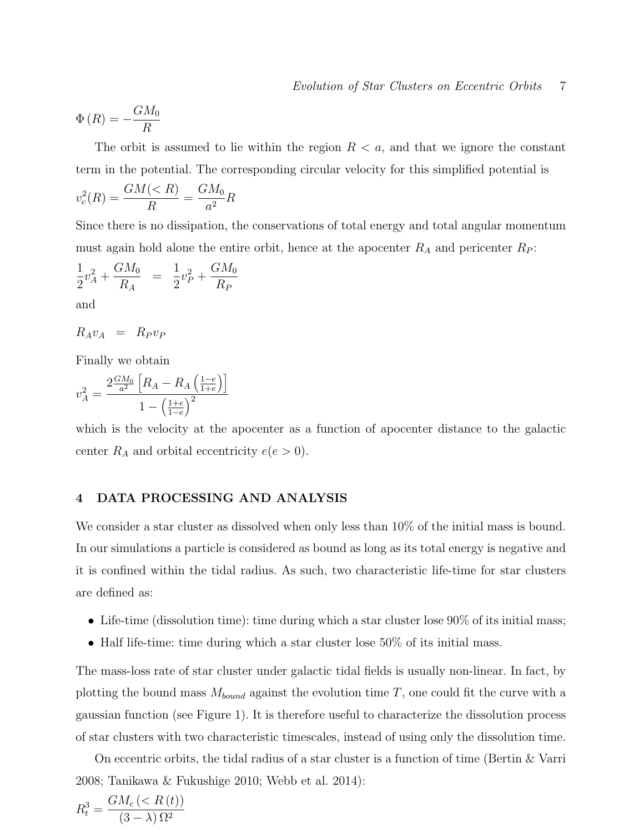$$
\Phi(R) = -\frac{GM_0}{R}
$$

The orbit is assumed to lie within the region  $R < a$ , and that we ignore the constant term in the potential. The corresponding circular velocity for this simplified potential is

$$
v_c^2(R) = \frac{GM(
$$

Since there is no dissipation, the conservations of total energy and total angular momentum must again hold alone the entire orbit, hence at the apocenter  $R_A$  and pericenter  $R_P$ :

$$
\frac{1}{2}v_A^2 + \frac{GM_0}{R_A} = \frac{1}{2}v_P^2 + \frac{GM_0}{R_P}
$$

and

$$
R_A v_A = R_P v_F
$$

Finally we obtain

$$
v_A^2 = \frac{2\frac{GM_0}{a^2} \left[ R_A - R_A \left( \frac{1-e}{1+e} \right) \right]}{1 - \left( \frac{1+e}{1-e} \right)^2}
$$

which is the velocity at the apocenter as a function of apocenter distance to the galactic center  $R_A$  and orbital eccentricity  $e(e > 0)$ .

## 4 DATA PROCESSING AND ANALYSIS

We consider a star cluster as dissolved when only less than  $10\%$  of the initial mass is bound. In our simulations a particle is considered as bound as long as its total energy is negative and it is confined within the tidal radius. As such, two characteristic life-time for star clusters are defined as:

- Life-time (dissolution time): time during which a star cluster lose 90% of its initial mass;
- Half life-time: time during which a star cluster lose 50% of its initial mass.

The mass-loss rate of star cluster under galactic tidal fields is usually non-linear. In fact, by plotting the bound mass  $M_{bound}$  against the evolution time T, one could fit the curve with a gaussian function (see Figure 1). It is therefore useful to characterize the dissolution process of star clusters with two characteristic timescales, instead of using only the dissolution time.

On eccentric orbits, the tidal radius of a star cluster is a function of time (Bertin  $&\&$  Varri 2008; Tanikawa & Fukushige 2010; Webb et al. 2014):

$$
R_t^3 = \frac{GM_c \left(
$$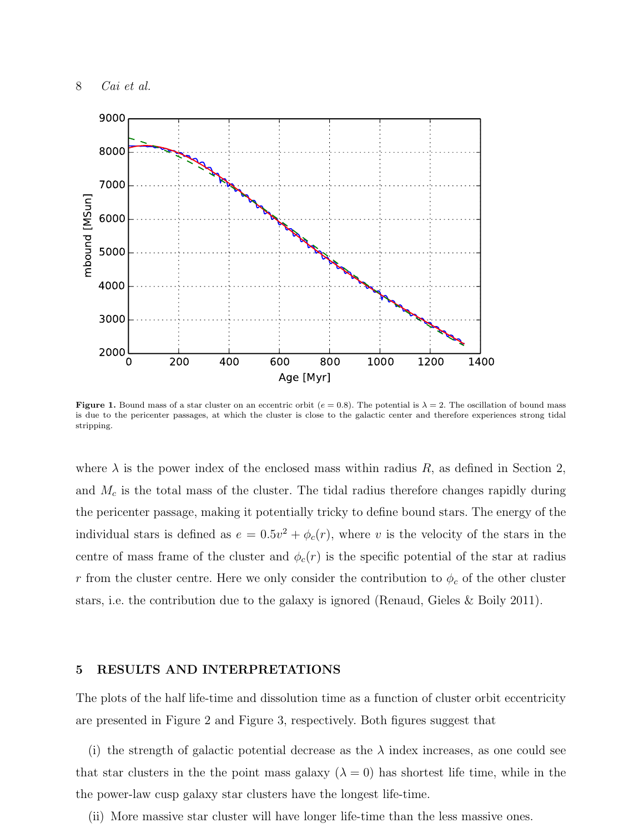

**Figure 1.** Bound mass of a star cluster on an eccentric orbit ( $e = 0.8$ ). The potential is  $\lambda = 2$ . The oscillation of bound mass is due to the pericenter passages, at which the cluster is close to the galactic center and therefore experiences strong tidal stripping.

where  $\lambda$  is the power index of the enclosed mass within radius R, as defined in Section 2, and  $M_c$  is the total mass of the cluster. The tidal radius therefore changes rapidly during the pericenter passage, making it potentially tricky to define bound stars. The energy of the individual stars is defined as  $e = 0.5v^2 + \phi_c(r)$ , where v is the velocity of the stars in the centre of mass frame of the cluster and  $\phi_c(r)$  is the specific potential of the star at radius r from the cluster centre. Here we only consider the contribution to  $\phi_c$  of the other cluster stars, i.e. the contribution due to the galaxy is ignored (Renaud, Gieles & Boily 2011).

#### 5 RESULTS AND INTERPRETATIONS

The plots of the half life-time and dissolution time as a function of cluster orbit eccentricity are presented in Figure 2 and Figure 3, respectively. Both figures suggest that

(i) the strength of galactic potential decrease as the  $\lambda$  index increases, as one could see that star clusters in the the point mass galaxy  $(\lambda = 0)$  has shortest life time, while in the the power-law cusp galaxy star clusters have the longest life-time.

(ii) More massive star cluster will have longer life-time than the less massive ones.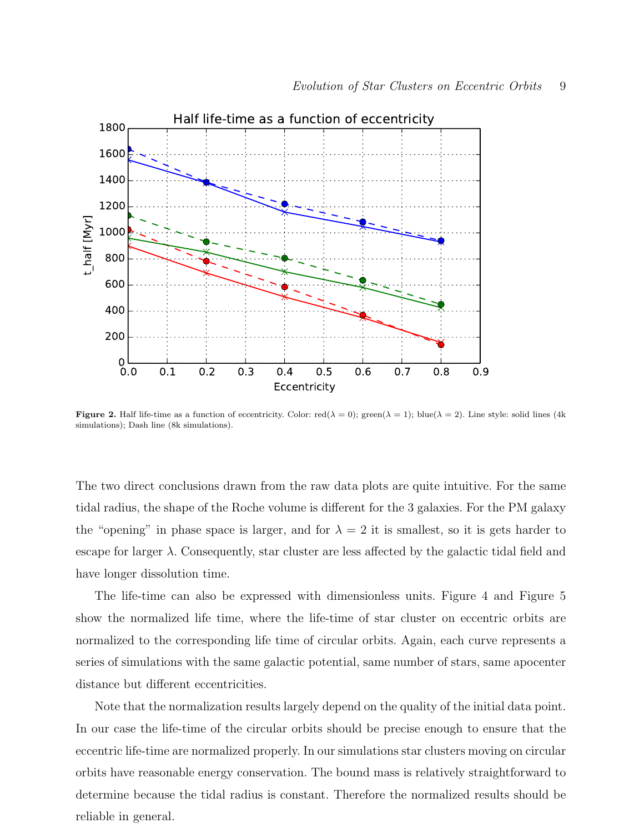

**Figure 2.** Half life-time as a function of eccentricity. Color: red( $\lambda = 0$ ); green( $\lambda = 1$ ); blue( $\lambda = 2$ ). Line style: solid lines (4k) simulations); Dash line (8k simulations).

The two direct conclusions drawn from the raw data plots are quite intuitive. For the same tidal radius, the shape of the Roche volume is different for the 3 galaxies. For the PM galaxy the "opening" in phase space is larger, and for  $\lambda = 2$  it is smallest, so it is gets harder to escape for larger  $\lambda$ . Consequently, star cluster are less affected by the galactic tidal field and have longer dissolution time.

The life-time can also be expressed with dimensionless units. Figure 4 and Figure 5 show the normalized life time, where the life-time of star cluster on eccentric orbits are normalized to the corresponding life time of circular orbits. Again, each curve represents a series of simulations with the same galactic potential, same number of stars, same apocenter distance but different eccentricities.

Note that the normalization results largely depend on the quality of the initial data point. In our case the life-time of the circular orbits should be precise enough to ensure that the eccentric life-time are normalized properly. In our simulations star clusters moving on circular orbits have reasonable energy conservation. The bound mass is relatively straightforward to determine because the tidal radius is constant. Therefore the normalized results should be reliable in general.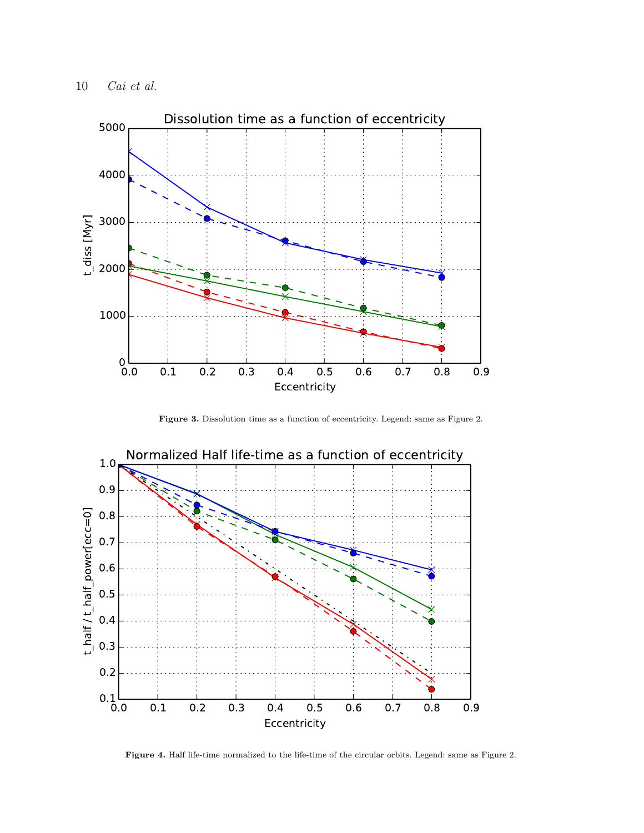

Figure 3. Dissolution time as a function of eccentricity. Legend: same as Figure 2.



Figure 4. Half life-time normalized to the life-time of the circular orbits. Legend: same as Figure 2.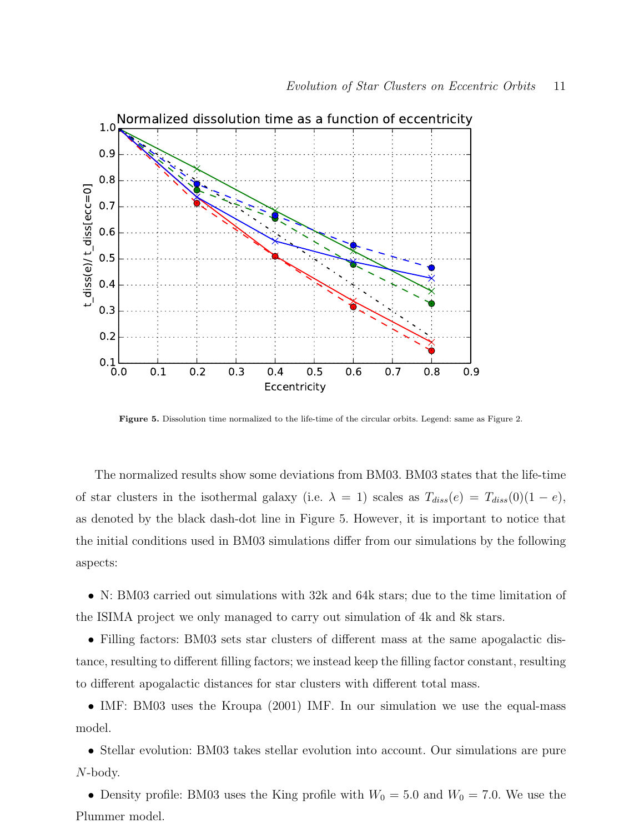

Figure 5. Dissolution time normalized to the life-time of the circular orbits. Legend: same as Figure 2.

The normalized results show some deviations from BM03. BM03 states that the life-time of star clusters in the isothermal galaxy (i.e.  $\lambda = 1$ ) scales as  $T_{diss}(e) = T_{diss}(0)(1 - e)$ , as denoted by the black dash-dot line in Figure 5. However, it is important to notice that the initial conditions used in BM03 simulations differ from our simulations by the following aspects:

• N: BM03 carried out simulations with 32k and 64k stars; due to the time limitation of the ISIMA project we only managed to carry out simulation of 4k and 8k stars.

• Filling factors: BM03 sets star clusters of different mass at the same apogalactic distance, resulting to different filling factors; we instead keep the filling factor constant, resulting to different apogalactic distances for star clusters with different total mass.

• IMF: BM03 uses the Kroupa (2001) IMF. In our simulation we use the equal-mass model.

• Stellar evolution: BM03 takes stellar evolution into account. Our simulations are pure N-body.

• Density profile: BM03 uses the King profile with  $W_0 = 5.0$  and  $W_0 = 7.0$ . We use the Plummer model.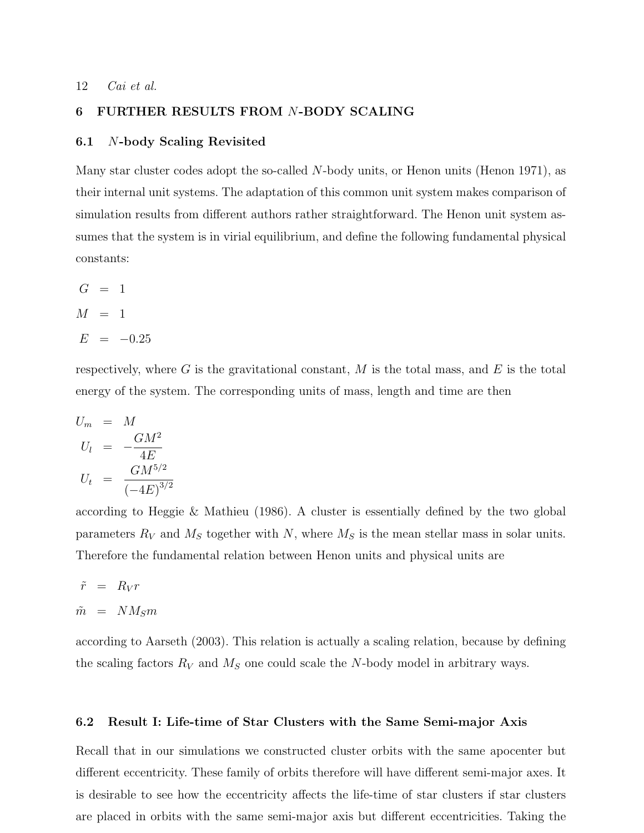## 6 FURTHER RESULTS FROM N-BODY SCALING

#### 6.1 N-body Scaling Revisited

Many star cluster codes adopt the so-called N-body units, or Henon units (Henon 1971), as their internal unit systems. The adaptation of this common unit system makes comparison of simulation results from different authors rather straightforward. The Henon unit system assumes that the system is in virial equilibrium, and define the following fundamental physical constants:

$$
G = 1
$$
  

$$
M = 1
$$
  

$$
E = -0.25
$$

respectively, where G is the gravitational constant,  $M$  is the total mass, and  $E$  is the total energy of the system. The corresponding units of mass, length and time are then

$$
U_m = M
$$
  
\n
$$
U_l = -\frac{GM^2}{4E}
$$
  
\n
$$
U_t = \frac{GM^{5/2}}{(-4E)^{3/2}}
$$

according to Heggie & Mathieu (1986). A cluster is essentially defined by the two global parameters  $R_V$  and  $M_S$  together with N, where  $M_S$  is the mean stellar mass in solar units. Therefore the fundamental relation between Henon units and physical units are

$$
\tilde{r} = R_V r
$$

 $\tilde{m}$  =  $NM_S m$ 

according to Aarseth (2003). This relation is actually a scaling relation, because by defining the scaling factors  $R_V$  and  $M_S$  one could scale the N-body model in arbitrary ways.

#### 6.2 Result I: Life-time of Star Clusters with the Same Semi-major Axis

Recall that in our simulations we constructed cluster orbits with the same apocenter but different eccentricity. These family of orbits therefore will have different semi-major axes. It is desirable to see how the eccentricity affects the life-time of star clusters if star clusters are placed in orbits with the same semi-major axis but different eccentricities. Taking the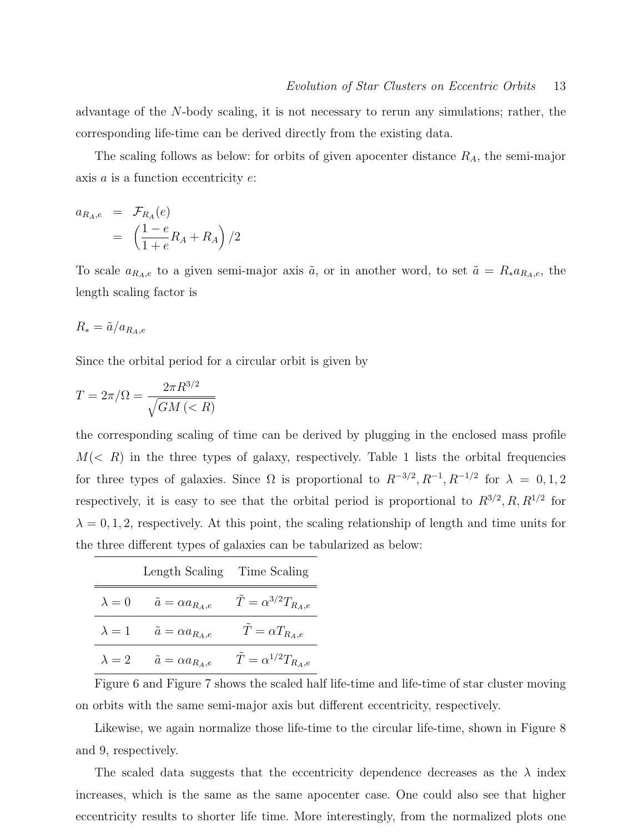advantage of the N-body scaling, it is not necessary to rerun any simulations; rather, the corresponding life-time can be derived directly from the existing data.

The scaling follows as below: for orbits of given apocenter distance  $R_A$ , the semi-major axis  $a$  is a function eccentricity  $e$ :

$$
a_{R_A,e} = \mathcal{F}_{R_A}(e)
$$
  
= 
$$
\left(\frac{1-e}{1+e}R_A + R_A\right)/2
$$

To scale  $a_{R_A,e}$  to a given semi-major axis  $\tilde{a}$ , or in another word, to set  $\tilde{a} = R_* a_{R_A,e}$ , the length scaling factor is

$$
R_* = \tilde{a}/a_{R_A,e}
$$

Since the orbital period for a circular orbit is given by

$$
T = 2\pi/\Omega = \frac{2\pi R^{3/2}}{\sqrt{GM\left(
$$

the corresponding scaling of time can be derived by plugging in the enclosed mass profile  $M(< R)$  in the three types of galaxy, respectively. Table 1 lists the orbital frequencies for three types of galaxies. Since  $\Omega$  is proportional to  $R^{-3/2}$ ,  $R^{-1}$ ,  $R^{-1/2}$  for  $\lambda = 0, 1, 2$ respectively, it is easy to see that the orbital period is proportional to  $R^{3/2}, R, R^{1/2}$  for  $\lambda = 0, 1, 2$ , respectively. At this point, the scaling relationship of length and time units for the three different types of galaxies can be tabularized as below:

|               | Length Scaling Time Scaling    |                                      |
|---------------|--------------------------------|--------------------------------------|
| $\lambda = 0$ | $\tilde{a} = \alpha a_{R_A,e}$ | $T = \alpha^{3/2} T_{R_A,e}$         |
| $\lambda = 1$ | $\tilde{a} = \alpha a_{R_A,e}$ | $T = \alpha T_{R_A,e}$               |
| $\lambda = 2$ | $\tilde{a} = \alpha a_{R_A,e}$ | $\tilde{T} = \alpha^{1/2} T_{R_A,e}$ |

Figure 6 and Figure 7 shows the scaled half life-time and life-time of star cluster moving on orbits with the same semi-major axis but different eccentricity, respectively.

Likewise, we again normalize those life-time to the circular life-time, shown in Figure 8 and 9, respectively.

The scaled data suggests that the eccentricity dependence decreases as the  $\lambda$  index increases, which is the same as the same apocenter case. One could also see that higher eccentricity results to shorter life time. More interestingly, from the normalized plots one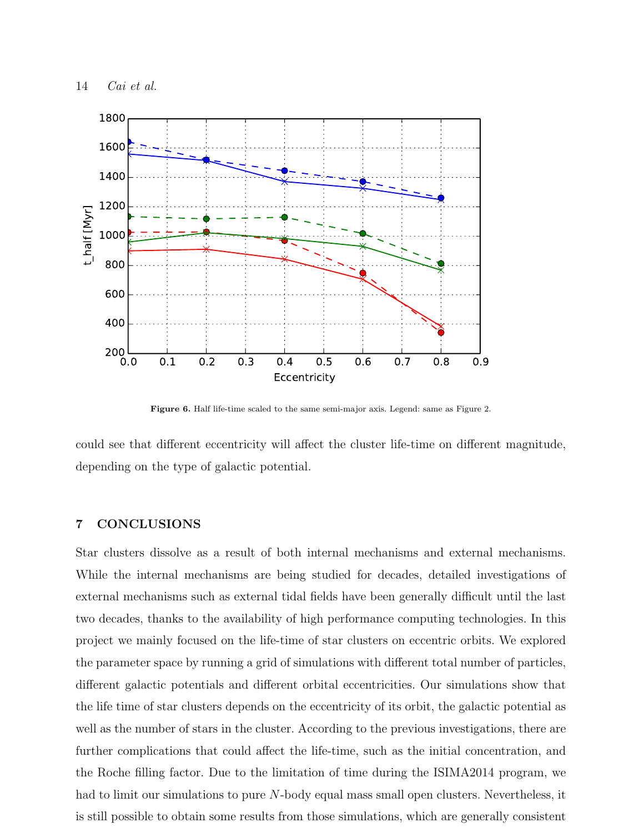

Figure 6. Half life-time scaled to the same semi-major axis. Legend: same as Figure 2.

could see that different eccentricity will affect the cluster life-time on different magnitude, depending on the type of galactic potential.

## 7 CONCLUSIONS

Star clusters dissolve as a result of both internal mechanisms and external mechanisms. While the internal mechanisms are being studied for decades, detailed investigations of external mechanisms such as external tidal fields have been generally difficult until the last two decades, thanks to the availability of high performance computing technologies. In this project we mainly focused on the life-time of star clusters on eccentric orbits. We explored the parameter space by running a grid of simulations with different total number of particles, different galactic potentials and different orbital eccentricities. Our simulations show that the life time of star clusters depends on the eccentricity of its orbit, the galactic potential as well as the number of stars in the cluster. According to the previous investigations, there are further complications that could affect the life-time, such as the initial concentration, and the Roche filling factor. Due to the limitation of time during the ISIMA2014 program, we had to limit our simulations to pure N-body equal mass small open clusters. Nevertheless, it is still possible to obtain some results from those simulations, which are generally consistent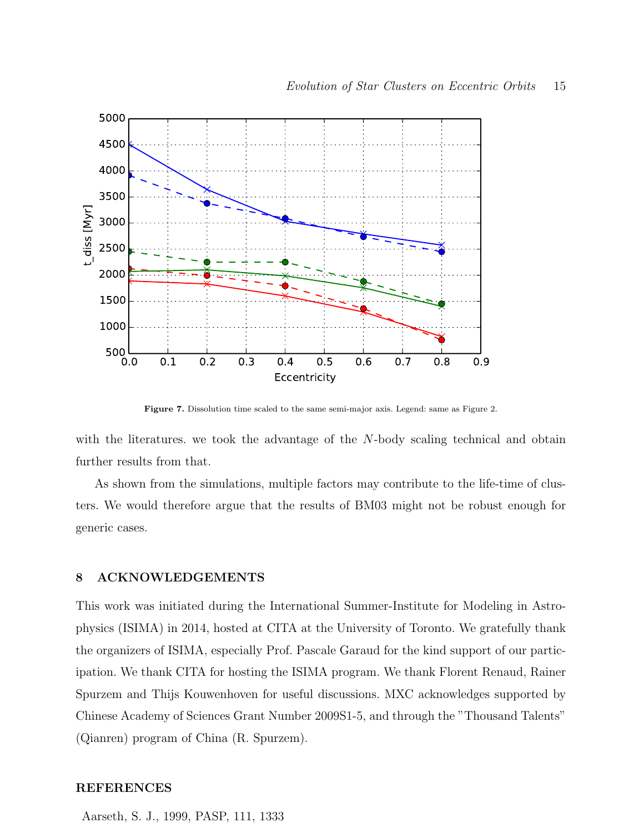

Figure 7. Dissolution time scaled to the same semi-major axis. Legend: same as Figure 2.

with the literatures, we took the advantage of the N-body scaling technical and obtain further results from that.

As shown from the simulations, multiple factors may contribute to the life-time of clusters. We would therefore argue that the results of BM03 might not be robust enough for generic cases.

## 8 ACKNOWLEDGEMENTS

This work was initiated during the International Summer-Institute for Modeling in Astrophysics (ISIMA) in 2014, hosted at CITA at the University of Toronto. We gratefully thank the organizers of ISIMA, especially Prof. Pascale Garaud for the kind support of our participation. We thank CITA for hosting the ISIMA program. We thank Florent Renaud, Rainer Spurzem and Thijs Kouwenhoven for useful discussions. MXC acknowledges supported by Chinese Academy of Sciences Grant Number 2009S1-5, and through the "Thousand Talents" (Qianren) program of China (R. Spurzem).

## REFERENCES

Aarseth, S. J., 1999, PASP, 111, 1333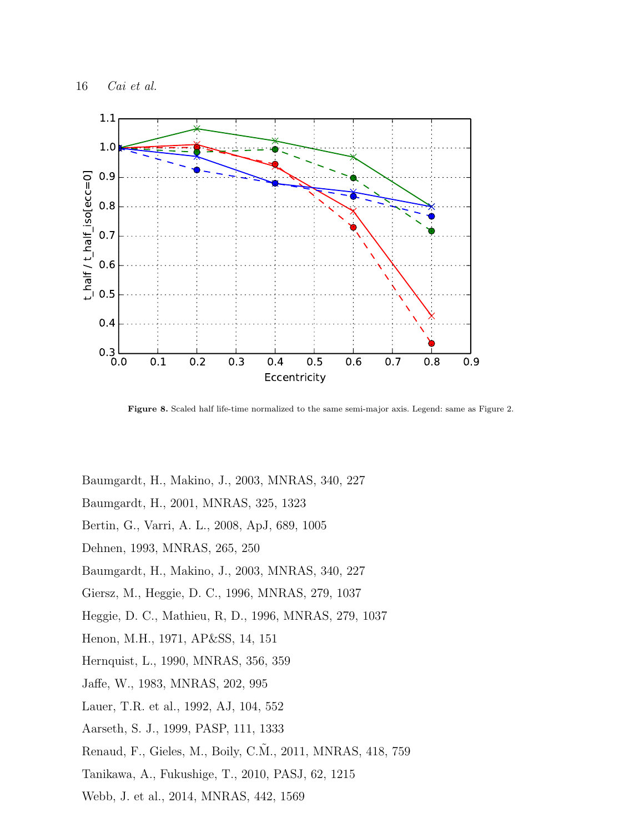

Figure 8. Scaled half life-time normalized to the same semi-major axis. Legend: same as Figure 2.

Baumgardt, H., Makino, J., 2003, MNRAS, 340, 227

- Baumgardt, H., 2001, MNRAS, 325, 1323
- Bertin, G., Varri, A. L., 2008, ApJ, 689, 1005
- Dehnen, 1993, MNRAS, 265, 250
- Baumgardt, H., Makino, J., 2003, MNRAS, 340, 227
- Giersz, M., Heggie, D. C., 1996, MNRAS, 279, 1037
- Heggie, D. C., Mathieu, R, D., 1996, MNRAS, 279, 1037
- Henon, M.H., 1971, AP&SS, 14, 151
- Hernquist, L., 1990, MNRAS, 356, 359
- Jaffe, W., 1983, MNRAS, 202, 995
- Lauer, T.R. et al., 1992, AJ, 104, 552
- Aarseth, S. J., 1999, PASP, 111, 1333
- Renaud, F., Gieles, M., Boily, C.M., 2011, MNRAS, 418, 759
- Tanikawa, A., Fukushige, T., 2010, PASJ, 62, 1215
- Webb, J. et al., 2014, MNRAS, 442, 1569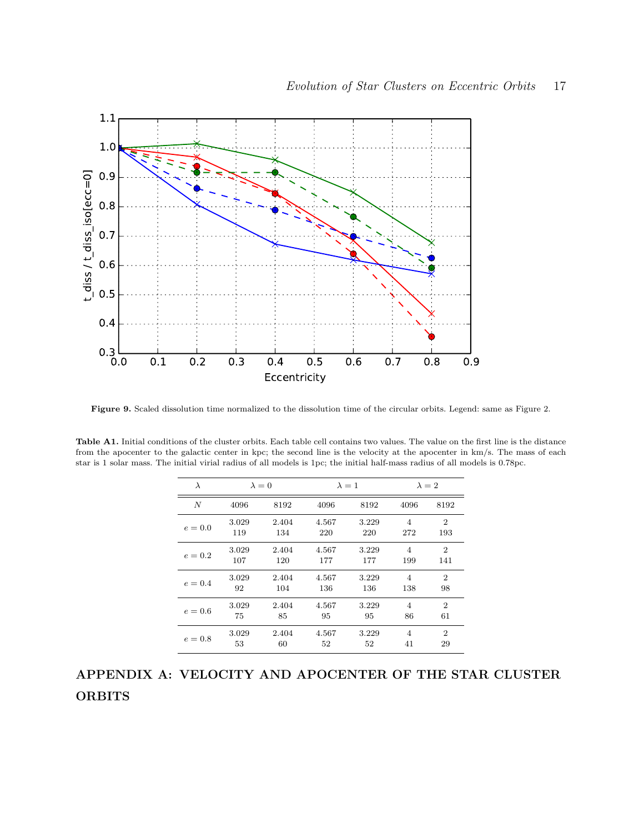

Figure 9. Scaled dissolution time normalized to the dissolution time of the circular orbits. Legend: same as Figure 2.

Table A1. Initial conditions of the cluster orbits. Each table cell contains two values. The value on the first line is the distance from the apocenter to the galactic center in kpc; the second line is the velocity at the apocenter in km/s. The mass of each star is 1 solar mass. The initial virial radius of all models is 1pc; the initial half-mass radius of all models is 0.78pc.

| $\lambda$        | $\lambda = 0$ |       | $\lambda = 1$ |       | $\lambda = 2$  |                |
|------------------|---------------|-------|---------------|-------|----------------|----------------|
| $\boldsymbol{N}$ | 4096          | 8192  | 4096          | 8192  | 4096           | 8192           |
| $e=0.0$          | 3.029         | 2.404 | 4.567         | 3.229 | 4              | $\overline{2}$ |
|                  | 119           | 134   | 220           | 220   | 272            | 193            |
| $e = 0.2$        | 3.029         | 2.404 | 4.567         | 3.229 | $\overline{4}$ | $\overline{2}$ |
|                  | 107           | 120   | 177           | 177   | 199            | 141            |
| $e=0.4$          | 3.029         | 2.404 | 4.567         | 3.229 | 4              | $\overline{2}$ |
|                  | 92            | 104   | 136           | 136   | 138            | 98             |
| $e=0.6$          | 3.029         | 2.404 | 4.567         | 3.229 | 4              | $\overline{2}$ |
|                  | 75            | 85    | 95            | 95    | 86             | 61             |
| $e = 0.8$        | 3.029         | 2.404 | 4.567         | 3.229 | 4              | $\overline{2}$ |
|                  | 53            | 60    | 52            | 52    | 41             | 29             |

# APPENDIX A: VELOCITY AND APOCENTER OF THE STAR CLUSTER **ORBITS**